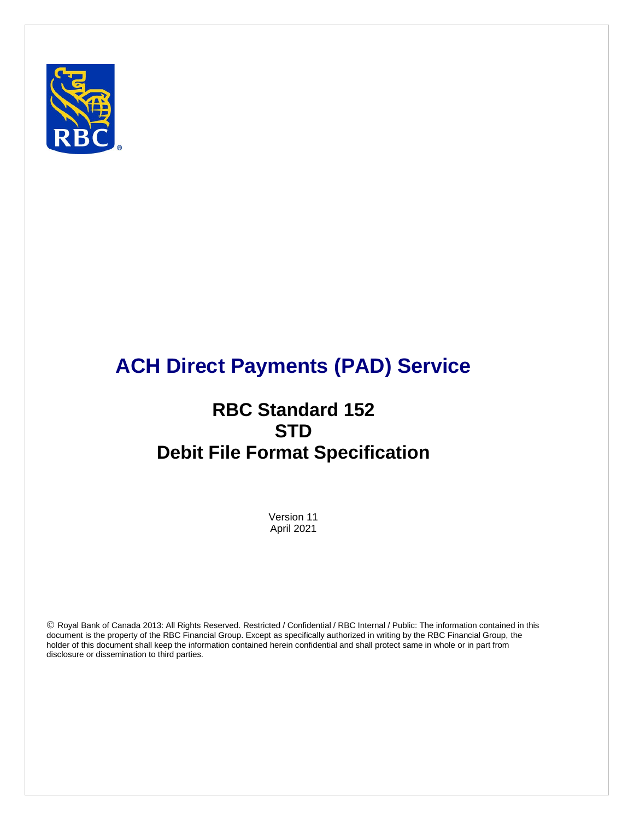

# **ACH Direct Payments (PAD) Service**

# **RBC Standard 152 STD Debit File Format Specification**

Version 11 April 2021

 Royal Bank of Canada 2013: All Rights Reserved. Restricted / Confidential / RBC Internal / Public: The information contained in this document is the property of the RBC Financial Group. Except as specifically authorized in writing by the RBC Financial Group, the holder of this document shall keep the information contained herein confidential and shall protect same in whole or in part from disclosure or dissemination to third parties.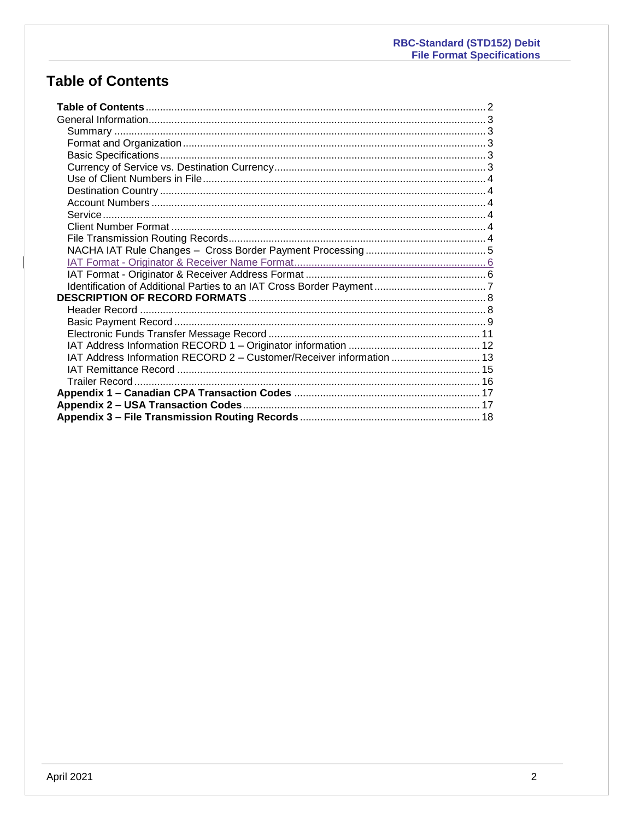# <span id="page-1-0"></span>**Table of Contents**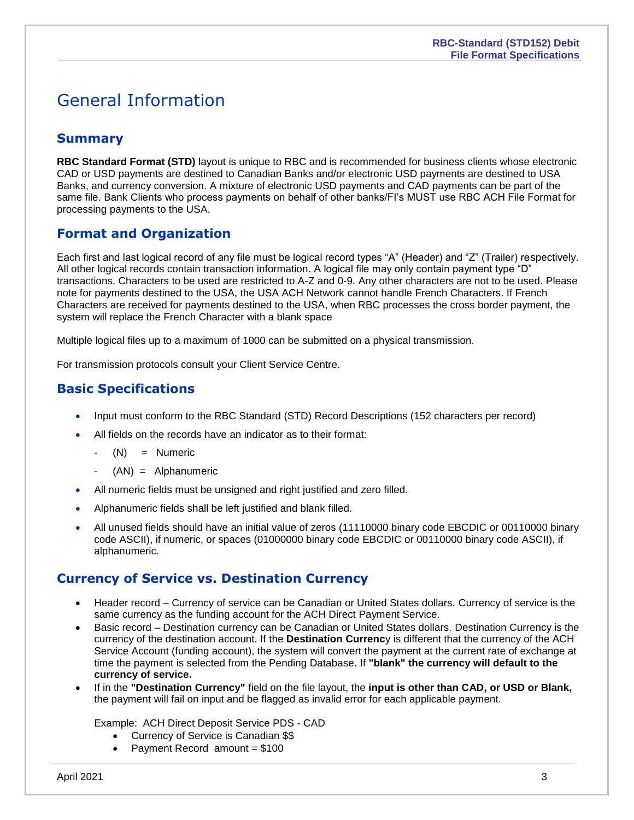# <span id="page-2-0"></span>General Information

## <span id="page-2-1"></span>**Summary**

**RBC Standard Format (STD)** layout is unique to RBC and is recommended for business clients whose electronic CAD or USD payments are destined to Canadian Banks and/or electronic USD payments are destined to USA Banks, and currency conversion. A mixture of electronic USD payments and CAD payments can be part of the same file. Bank Clients who process payments on behalf of other banks/FI's MUST use RBC ACH File Format for processing payments to the USA.

### <span id="page-2-2"></span>**Format and Organization**

Each first and last logical record of any file must be logical record types "A" (Header) and "Z" (Trailer) respectively. All other logical records contain transaction information. A logical file may only contain payment type "D" transactions. Characters to be used are restricted to A-Z and 0-9. Any other characters are not to be used. Please note for payments destined to the USA, the USA ACH Network cannot handle French Characters. If French Characters are received for payments destined to the USA, when RBC processes the cross border payment, the system will replace the French Character with a blank space

Multiple logical files up to a maximum of 1000 can be submitted on a physical transmission.

For transmission protocols consult your Client Service Centre.

### <span id="page-2-3"></span>**Basic Specifications**

- Input must conform to the RBC Standard (STD) Record Descriptions (152 characters per record)
- All fields on the records have an indicator as to their format:
	- $(N) =$  Numeric
	- $(AN) =$  Alphanumeric
- All numeric fields must be unsigned and right justified and zero filled.
- Alphanumeric fields shall be left justified and blank filled.
- All unused fields should have an initial value of zeros (11110000 binary code EBCDIC or 00110000 binary code ASCII), if numeric, or spaces (01000000 binary code EBCDIC or 00110000 binary code ASCII), if alphanumeric.

### <span id="page-2-4"></span>**Currency of Service vs. Destination Currency**

- Header record Currency of service can be Canadian or United States dollars. Currency of service is the same currency as the funding account for the ACH Direct Payment Service.
- Basic record Destination currency can be Canadian or United States dollars. Destination Currency is the currency of the destination account. If the **Destination Currenc**y is different that the currency of the ACH Service Account (funding account), the system will convert the payment at the current rate of exchange at time the payment is selected from the Pending Database. If **"blank" the currency will default to the currency of service.**
- If in the **"Destination Currency"** field on the file layout, the **input is other than CAD, or USD or Blank,** the payment will fail on input and be flagged as invalid error for each applicable payment.

#### Example: ACH Direct Deposit Service PDS - CAD

- Currency of Service is Canadian \$\$
- Payment Record amount  $= $100$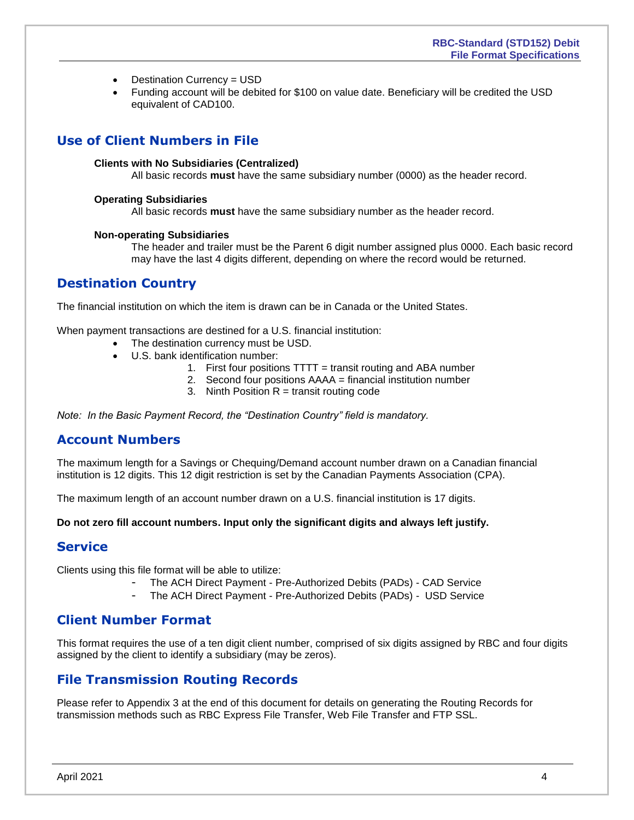- Destination Currency = USD
- Funding account will be debited for \$100 on value date. Beneficiary will be credited the USD equivalent of CAD100.

### <span id="page-3-0"></span>**Use of Client Numbers in File**

#### **Clients with No Subsidiaries (Centralized)**

All basic records **must** have the same subsidiary number (0000) as the header record.

#### **Operating Subsidiaries**

All basic records **must** have the same subsidiary number as the header record.

#### **Non-operating Subsidiaries**

The header and trailer must be the Parent 6 digit number assigned plus 0000. Each basic record may have the last 4 digits different, depending on where the record would be returned.

### <span id="page-3-1"></span>**Destination Country**

The financial institution on which the item is drawn can be in Canada or the United States.

When payment transactions are destined for a U.S. financial institution:

- The destination currency must be USD.
- U.S. bank identification number:
	- 1. First four positions TTTT = transit routing and ABA number
	- 2. Second four positions AAAA = financial institution number
	- 3. Ninth Position  $R =$  transit routing code

<span id="page-3-2"></span>*Note: In the Basic Payment Record, the "Destination Country" field is mandatory.* 

### **Account Numbers**

The maximum length for a Savings or Chequing/Demand account number drawn on a Canadian financial institution is 12 digits. This 12 digit restriction is set by the Canadian Payments Association (CPA).

The maximum length of an account number drawn on a U.S. financial institution is 17 digits.

<span id="page-3-3"></span>**Do not zero fill account numbers. Input only the significant digits and always left justify.**

#### **Service**

Clients using this file format will be able to utilize:

- The ACH Direct Payment Pre-Authorized Debits (PADs) CAD Service
- The ACH Direct Payment Pre-Authorized Debits (PADs) USD Service

### <span id="page-3-4"></span>**Client Number Format**

This format requires the use of a ten digit client number, comprised of six digits assigned by RBC and four digits assigned by the client to identify a subsidiary (may be zeros).

### <span id="page-3-5"></span>**File Transmission Routing Records**

Please refer to Appendix 3 at the end of this document for details on generating the Routing Records for transmission methods such as RBC Express File Transfer, Web File Transfer and FTP SSL.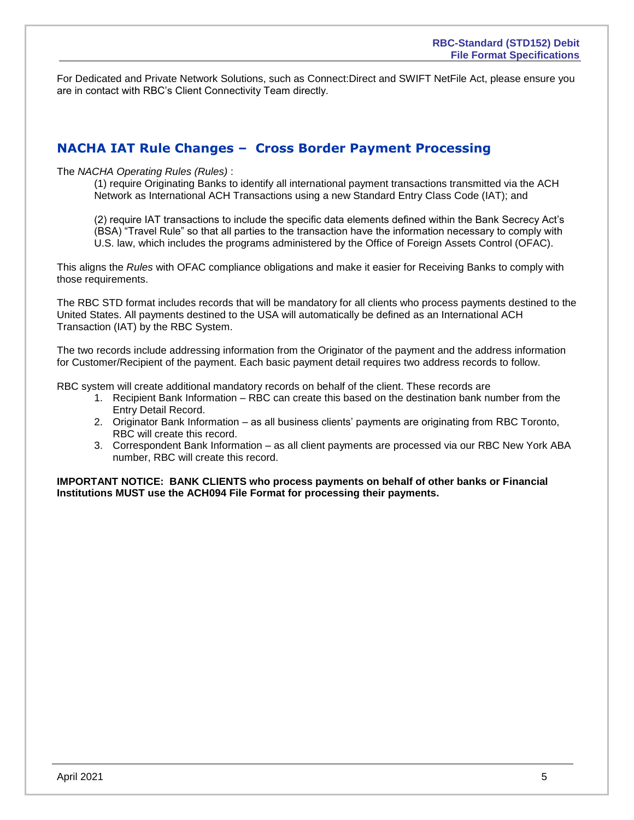For Dedicated and Private Network Solutions, such as Connect:Direct and SWIFT NetFile Act, please ensure you are in contact with RBC's Client Connectivity Team directly.

### <span id="page-4-0"></span>**NACHA IAT Rule Changes – Cross Border Payment Processing**

#### The *NACHA Operating Rules (Rules)* :

(1) require Originating Banks to identify all international payment transactions transmitted via the ACH Network as International ACH Transactions using a new Standard Entry Class Code (IAT); and

(2) require IAT transactions to include the specific data elements defined within the Bank Secrecy Act's (BSA) "Travel Rule" so that all parties to the transaction have the information necessary to comply with U.S. law, which includes the programs administered by the Office of Foreign Assets Control (OFAC).

This aligns the *Rules* with OFAC compliance obligations and make it easier for Receiving Banks to comply with those requirements.

The RBC STD format includes records that will be mandatory for all clients who process payments destined to the United States. All payments destined to the USA will automatically be defined as an International ACH Transaction (IAT) by the RBC System.

The two records include addressing information from the Originator of the payment and the address information for Customer/Recipient of the payment. Each basic payment detail requires two address records to follow.

RBC system will create additional mandatory records on behalf of the client. These records are

- 1. Recipient Bank Information RBC can create this based on the destination bank number from the Entry Detail Record.
- 2. Originator Bank Information as all business clients' payments are originating from RBC Toronto, RBC will create this record.
- 3. Correspondent Bank Information as all client payments are processed via our RBC New York ABA number, RBC will create this record.

**IMPORTANT NOTICE: BANK CLIENTS who process payments on behalf of other banks or Financial Institutions MUST use the ACH094 File Format for processing their payments.**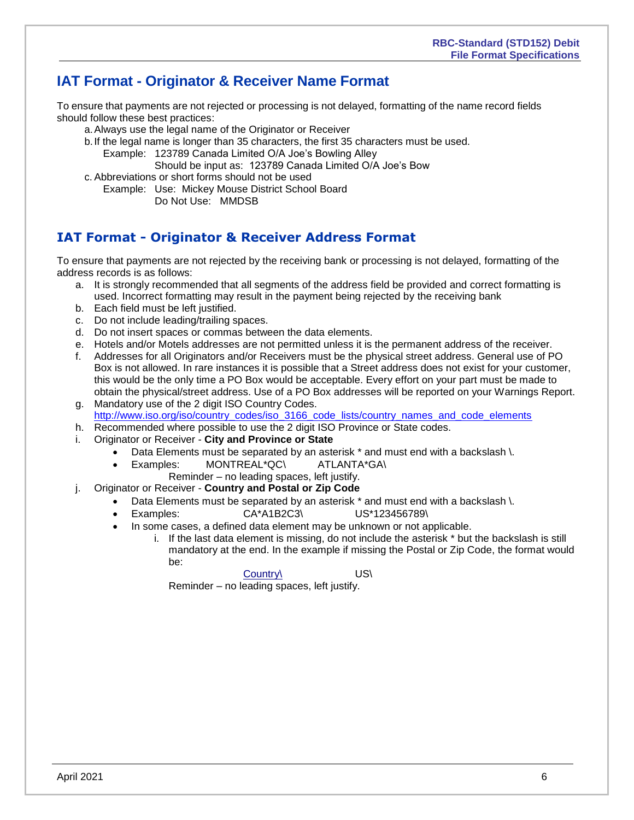## <span id="page-5-0"></span>**IAT Format - Originator & Receiver Name Format**

To ensure that payments are not rejected or processing is not delayed, formatting of the name record fields should follow these best practices:

- a.Always use the legal name of the Originator or Receiver
- b.If the legal name is longer than 35 characters, the first 35 characters must be used.

Example: 123789 Canada Limited O/A Joe's Bowling Alley

Should be input as: 123789 Canada Limited O/A Joe's Bow

c. Abbreviations or short forms should not be used

Example: Use: Mickey Mouse District School Board Do Not Use: MMDSB

## **IAT Format - Originator & Receiver Address Format**

To ensure that payments are not rejected by the receiving bank or processing is not delayed, formatting of the address records is as follows:

- a. It is strongly recommended that all segments of the address field be provided and correct formatting is used. Incorrect formatting may result in the payment being rejected by the receiving bank
- b. Each field must be left justified.
- c. Do not include leading/trailing spaces.
- d. Do not insert spaces or commas between the data elements.
- e. Hotels and/or Motels addresses are not permitted unless it is the permanent address of the receiver.
- f. Addresses for all Originators and/or Receivers must be the physical street address. General use of PO Box is not allowed. In rare instances it is possible that a Street address does not exist for your customer, this would be the only time a PO Box would be acceptable. Every effort on your part must be made to obtain the physical/street address. Use of a PO Box addresses will be reported on your Warnings Report.
- g. Mandatory use of the 2 digit ISO Country Codes. [http://www.iso.org/iso/country\\_codes/iso\\_3166\\_code\\_lists/country\\_names\\_and\\_code\\_elements](http://www.iso.org/iso/country_codes/iso_3166_code_lists/country_names_and_code_elements)
- h. Recommended where possible to use the 2 digit ISO Province or State codes.
- i. Originator or Receiver **City and Province or State**
	- Data Elements must be separated by an asterisk \* and must end with a backslash \.
	- Examples: MONTREAL\*QC\ ATLANTA\*GA\
		- Reminder no leading spaces, left justify.
- j. Originator or Receiver **Country and Postal or Zip Code**
	- Data Elements must be separated by an asterisk \* and must end with a backslash \.
	- Examples: CA\*A1B2C3\ US\*123456789\
	- In some cases, a defined data element may be unknown or not applicable.
		- i. If the last data element is missing, do not include the asterisk \* but the backslash is still mandatory at the end. In the example if missing the Postal or Zip Code, the format would be:

Country\ US\

Reminder – no leading spaces, left justify.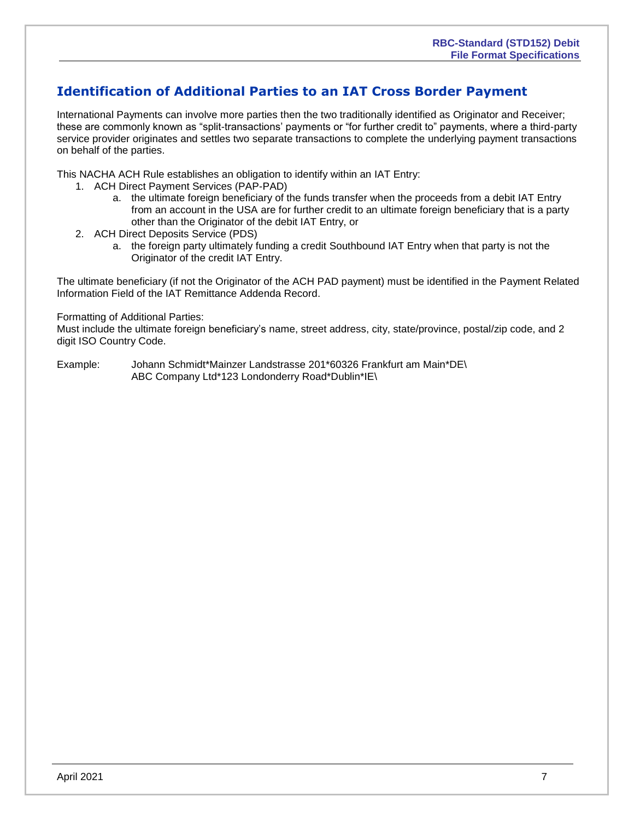### <span id="page-6-0"></span>**Identification of Additional Parties to an IAT Cross Border Payment**

International Payments can involve more parties then the two traditionally identified as Originator and Receiver; these are commonly known as "split-transactions' payments or "for further credit to" payments, where a third-party service provider originates and settles two separate transactions to complete the underlying payment transactions on behalf of the parties.

This NACHA ACH Rule establishes an obligation to identify within an IAT Entry:

- 1. ACH Direct Payment Services (PAP-PAD)
	- a. the ultimate foreign beneficiary of the funds transfer when the proceeds from a debit IAT Entry from an account in the USA are for further credit to an ultimate foreign beneficiary that is a party other than the Originator of the debit IAT Entry, or
- 2. ACH Direct Deposits Service (PDS)
	- a. the foreign party ultimately funding a credit Southbound IAT Entry when that party is not the Originator of the credit IAT Entry.

The ultimate beneficiary (if not the Originator of the ACH PAD payment) must be identified in the Payment Related Information Field of the IAT Remittance Addenda Record.

#### Formatting of Additional Parties:

Must include the ultimate foreign beneficiary's name, street address, city, state/province, postal/zip code, and 2 digit ISO Country Code.

Example: Johann Schmidt\*Mainzer Landstrasse 201\*60326 Frankfurt am Main\*DE\ ABC Company Ltd\*123 Londonderry Road\*Dublin\*IE\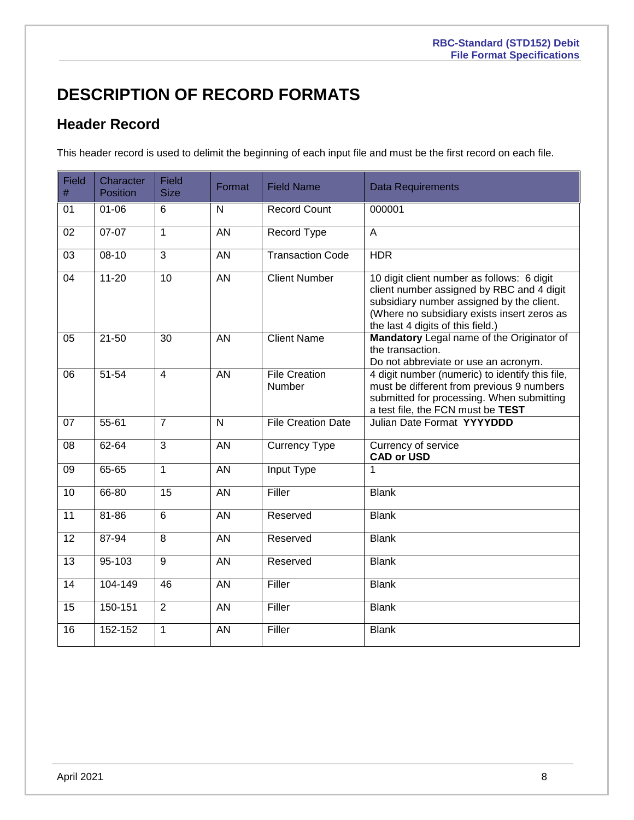# <span id="page-7-0"></span>**DESCRIPTION OF RECORD FORMATS**

# <span id="page-7-1"></span>**Header Record**

This header record is used to delimit the beginning of each input file and must be the first record on each file.

| <b>Field</b><br># | Character<br><b>Position</b> | Field<br><b>Size</b> | Format          | <b>Field Name</b>              | <b>Data Requirements</b>                                                                                                                                                                                                 |
|-------------------|------------------------------|----------------------|-----------------|--------------------------------|--------------------------------------------------------------------------------------------------------------------------------------------------------------------------------------------------------------------------|
| 01                | $01 - 06$                    | 6                    | N               | <b>Record Count</b>            | 000001                                                                                                                                                                                                                   |
| 02                | 07-07                        | $\mathbf{1}$         | AN              | Record Type                    | A                                                                                                                                                                                                                        |
| 03                | 08-10                        | 3                    | AN              | <b>Transaction Code</b>        | <b>HDR</b>                                                                                                                                                                                                               |
| 04                | $11 - 20$                    | $\overline{10}$      | $\overline{AN}$ | <b>Client Number</b>           | 10 digit client number as follows: 6 digit<br>client number assigned by RBC and 4 digit<br>subsidiary number assigned by the client.<br>(Where no subsidiary exists insert zeros as<br>the last 4 digits of this field.) |
| 05                | $21 - 50$                    | 30                   | AN              | <b>Client Name</b>             | Mandatory Legal name of the Originator of<br>the transaction.<br>Do not abbreviate or use an acronym.                                                                                                                    |
| 06                | 51-54                        | $\overline{4}$       | AN              | <b>File Creation</b><br>Number | 4 digit number (numeric) to identify this file,<br>must be different from previous 9 numbers<br>submitted for processing. When submitting<br>a test file, the FCN must be TEST                                           |
| 07                | 55-61                        | $\overline{7}$       | N               | <b>File Creation Date</b>      | Julian Date Format YYYYDDD                                                                                                                                                                                               |
| 08                | 62-64                        | 3                    | AN              | <b>Currency Type</b>           | Currency of service<br><b>CAD or USD</b>                                                                                                                                                                                 |
| 09                | 65-65                        | $\mathbf{1}$         | <b>AN</b>       | <b>Input Type</b>              | 1                                                                                                                                                                                                                        |
| 10                | 66-80                        | $\overline{15}$      | <b>AN</b>       | Filler                         | <b>Blank</b>                                                                                                                                                                                                             |
| 11                | $81 - 86$                    | 6                    | AN              | Reserved                       | <b>Blank</b>                                                                                                                                                                                                             |
| 12                | 87-94                        | 8                    | AN              | Reserved                       | <b>Blank</b>                                                                                                                                                                                                             |
| 13                | 95-103                       | 9                    | AN              | Reserved                       | <b>Blank</b>                                                                                                                                                                                                             |
| 14                | 104-149                      | 46                   | AN              | Filler                         | <b>Blank</b>                                                                                                                                                                                                             |
| 15                | 150-151                      | $\overline{2}$       | AN              | Filler                         | <b>Blank</b>                                                                                                                                                                                                             |
| 16                | 152-152                      | 1                    | <b>AN</b>       | Filler                         | <b>Blank</b>                                                                                                                                                                                                             |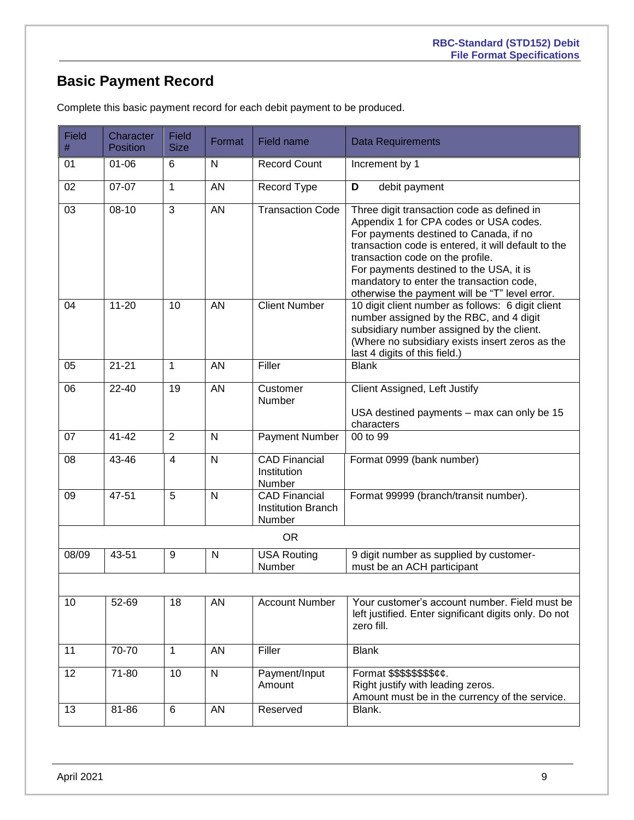# <span id="page-8-0"></span>**Basic Payment Record**

| <b>Field</b><br># | Character<br><b>Position</b> | <b>Field</b><br><b>Size</b> | Format          | Field name                                                  | <b>Data Requirements</b>                                                                                                                                                                                                                                                                                                                                           |
|-------------------|------------------------------|-----------------------------|-----------------|-------------------------------------------------------------|--------------------------------------------------------------------------------------------------------------------------------------------------------------------------------------------------------------------------------------------------------------------------------------------------------------------------------------------------------------------|
| 01                | $01 - 06$                    | 6                           | N               | <b>Record Count</b>                                         | Increment by 1                                                                                                                                                                                                                                                                                                                                                     |
| 02                | 07-07                        | $\mathbf{1}$                | <b>AN</b>       | Record Type                                                 | debit payment<br>D                                                                                                                                                                                                                                                                                                                                                 |
| 03                | $08-10$                      | 3                           | $\overline{AN}$ | <b>Transaction Code</b>                                     | Three digit transaction code as defined in<br>Appendix 1 for CPA codes or USA codes.<br>For payments destined to Canada, if no<br>transaction code is entered, it will default to the<br>transaction code on the profile.<br>For payments destined to the USA, it is<br>mandatory to enter the transaction code,<br>otherwise the payment will be "T" level error. |
| 04                | $11 - 20$                    | 10                          | <b>AN</b>       | <b>Client Number</b>                                        | 10 digit client number as follows: 6 digit client<br>number assigned by the RBC, and 4 digit<br>subsidiary number assigned by the client.<br>(Where no subsidiary exists insert zeros as the<br>last 4 digits of this field.)                                                                                                                                      |
| 05                | $21 - 21$                    | 1                           | AN              | Filler                                                      | <b>Blank</b>                                                                                                                                                                                                                                                                                                                                                       |
| 06                | $22 - 40$                    | 19                          | AN              | Customer<br>Number                                          | Client Assigned, Left Justify<br>USA destined payments - max can only be 15<br>characters                                                                                                                                                                                                                                                                          |
| 07                | $41 - 42$                    | $\overline{2}$              | N               | <b>Payment Number</b>                                       | 00 to 99                                                                                                                                                                                                                                                                                                                                                           |
| 08                | 43-46                        | $\overline{4}$              | $\mathsf{N}$    | <b>CAD Financial</b><br>Institution<br>Number               | Format 0999 (bank number)                                                                                                                                                                                                                                                                                                                                          |
| 09                | 47-51                        | 5                           | $\mathsf{N}$    | <b>CAD Financial</b><br><b>Institution Branch</b><br>Number | Format 99999 (branch/transit number).                                                                                                                                                                                                                                                                                                                              |
|                   |                              |                             |                 | <b>OR</b>                                                   |                                                                                                                                                                                                                                                                                                                                                                    |
| 08/09             | 43-51                        | 9                           | N               | <b>USA Routing</b><br>Number                                | 9 digit number as supplied by customer-<br>must be an ACH participant                                                                                                                                                                                                                                                                                              |
| 10                | 52-69                        | 18                          | AN              | <b>Account Number</b>                                       | Your customer's account number. Field must be<br>left justified. Enter significant digits only. Do not<br>zero fill.                                                                                                                                                                                                                                               |
| 11                | 70-70                        | 1                           | AN              | Filler                                                      | <b>Blank</b>                                                                                                                                                                                                                                                                                                                                                       |
| 12                | 71-80                        | 10                          | $\overline{N}$  | Payment/Input<br>Amount                                     | Format \$\$\$\$\$\$\$\$¢¢.<br>Right justify with leading zeros.<br>Amount must be in the currency of the service.                                                                                                                                                                                                                                                  |
| 13                | 81-86                        | 6                           | AN              | Reserved                                                    | Blank.                                                                                                                                                                                                                                                                                                                                                             |

Complete this basic payment record for each debit payment to be produced.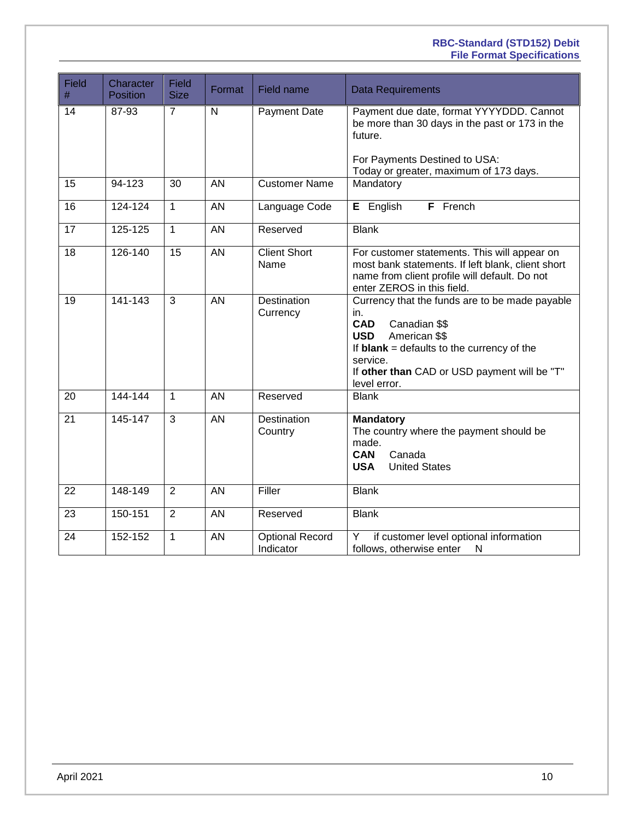#### **RBC-Standard (STD152) Debit File Format Specifications**

| <b>Field</b><br>$\#$ | Character<br><b>Position</b> | Field<br><b>Size</b> | Format          | Field name                          | <b>Data Requirements</b>                                                                                                                                                                                                                        |
|----------------------|------------------------------|----------------------|-----------------|-------------------------------------|-------------------------------------------------------------------------------------------------------------------------------------------------------------------------------------------------------------------------------------------------|
| 14                   | 87-93                        | $\overline{7}$       | N               | Payment Date                        | Payment due date, format YYYYDDD. Cannot<br>be more than 30 days in the past or 173 in the<br>future.                                                                                                                                           |
|                      |                              |                      |                 |                                     | For Payments Destined to USA:<br>Today or greater, maximum of 173 days.                                                                                                                                                                         |
| 15                   | 94-123                       | 30                   | AN              | <b>Customer Name</b>                | Mandatory                                                                                                                                                                                                                                       |
| 16                   | 124-124                      | $\overline{1}$       | AN              | Language Code                       | E English<br>F French                                                                                                                                                                                                                           |
| 17                   | 125-125                      | $\mathbf{1}$         | <b>AN</b>       | Reserved                            | <b>Blank</b>                                                                                                                                                                                                                                    |
| 18                   | 126-140                      | $\overline{15}$      | $\overline{AN}$ | <b>Client Short</b><br>Name         | For customer statements. This will appear on<br>most bank statements. If left blank, client short<br>name from client profile will default. Do not<br>enter ZEROS in this field.                                                                |
| 19                   | $141 - 143$                  | 3                    | $\overline{AN}$ | Destination<br>Currency             | Currency that the funds are to be made payable<br>in.<br><b>CAD</b><br>Canadian \$\$<br>American \$\$<br><b>USD</b><br>If $blank = defaults$ to the currency of the<br>service.<br>If other than CAD or USD payment will be "T"<br>level error. |
| 20                   | 144-144                      | $\mathbf{1}$         | AN              | Reserved                            | <b>Blank</b>                                                                                                                                                                                                                                    |
| 21                   | 145-147                      | 3                    | <b>AN</b>       | Destination<br>Country              | <b>Mandatory</b><br>The country where the payment should be<br>made.<br><b>CAN</b><br>Canada<br><b>United States</b><br><b>USA</b>                                                                                                              |
| 22                   | 148-149                      | $\overline{2}$       | $\overline{AN}$ | Filler                              | <b>Blank</b>                                                                                                                                                                                                                                    |
| 23                   | 150-151                      | $\overline{2}$       | <b>AN</b>       | Reserved                            | <b>Blank</b>                                                                                                                                                                                                                                    |
| 24                   | 152-152                      | $\mathbf{1}$         | AN              | <b>Optional Record</b><br>Indicator | if customer level optional information<br>Y<br>follows, otherwise enter<br>N                                                                                                                                                                    |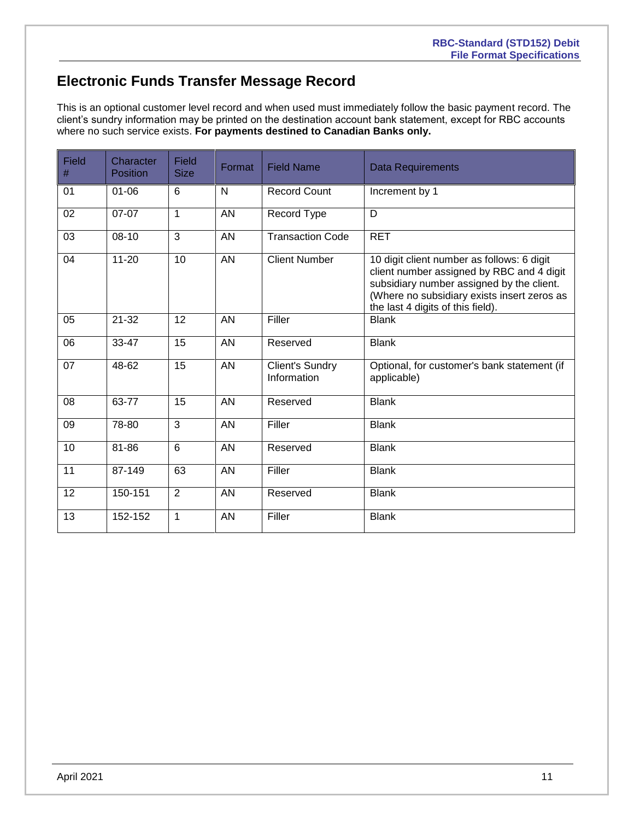## <span id="page-10-0"></span>**Electronic Funds Transfer Message Record**

This is an optional customer level record and when used must immediately follow the basic payment record. The client's sundry information may be printed on the destination account bank statement, except for RBC accounts where no such service exists. **For payments destined to Canadian Banks only.**

| Field<br>$\#$ | Character<br><b>Position</b> | <b>Field</b><br><b>Size</b> | Format    | <b>Field Name</b>                     | Data Requirements                                                                                                                                                                                                        |
|---------------|------------------------------|-----------------------------|-----------|---------------------------------------|--------------------------------------------------------------------------------------------------------------------------------------------------------------------------------------------------------------------------|
| 01            | $01 - 06$                    | 6                           | N         | <b>Record Count</b>                   | Increment by 1                                                                                                                                                                                                           |
| 02            | 07-07                        | 1                           | <b>AN</b> | Record Type                           | D                                                                                                                                                                                                                        |
| 03            | 08-10                        | 3                           | <b>AN</b> | <b>Transaction Code</b>               | <b>RET</b>                                                                                                                                                                                                               |
| 04            | $11 - 20$                    | 10                          | <b>AN</b> | <b>Client Number</b>                  | 10 digit client number as follows: 6 digit<br>client number assigned by RBC and 4 digit<br>subsidiary number assigned by the client.<br>(Where no subsidiary exists insert zeros as<br>the last 4 digits of this field). |
| 05            | $21 - 32$                    | 12                          | AN        | Filler                                | <b>Blank</b>                                                                                                                                                                                                             |
| 06            | 33-47                        | 15                          | AN        | Reserved                              | <b>Blank</b>                                                                                                                                                                                                             |
| 07            | 48-62                        | $\overline{15}$             | AN        | <b>Client's Sundry</b><br>Information | Optional, for customer's bank statement (if<br>applicable)                                                                                                                                                               |
| 08            | 63-77                        | 15                          | AN        | Reserved                              | <b>Blank</b>                                                                                                                                                                                                             |
| 09            | 78-80                        | 3                           | AN        | Filler                                | <b>Blank</b>                                                                                                                                                                                                             |
| 10            | 81-86                        | 6                           | AN        | Reserved                              | <b>Blank</b>                                                                                                                                                                                                             |
| 11            | 87-149                       | 63                          | <b>AN</b> | Filler                                | <b>Blank</b>                                                                                                                                                                                                             |
| 12            | 150-151                      | $\overline{2}$              | <b>AN</b> | Reserved                              | <b>Blank</b>                                                                                                                                                                                                             |
| 13            | 152-152                      | 1                           | AN        | Filler                                | <b>Blank</b>                                                                                                                                                                                                             |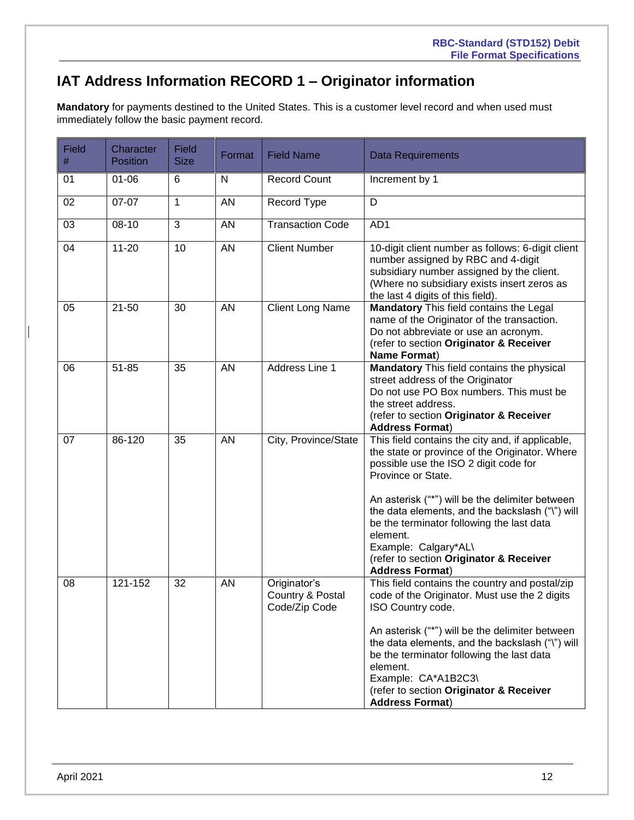# <span id="page-11-0"></span>**IAT Address Information RECORD 1 – Originator information**

**Mandatory** for payments destined to the United States. This is a customer level record and when used must immediately follow the basic payment record.

| <b>Field</b><br>$\#$ | Character<br><b>Position</b> | <b>Field</b><br><b>Size</b> | Format    | <b>Field Name</b>                                 | Data Requirements                                                                                                                                                                                                                                                                                                                                                                                                             |
|----------------------|------------------------------|-----------------------------|-----------|---------------------------------------------------|-------------------------------------------------------------------------------------------------------------------------------------------------------------------------------------------------------------------------------------------------------------------------------------------------------------------------------------------------------------------------------------------------------------------------------|
| 01                   | $01 - 06$                    | 6                           | N         | <b>Record Count</b>                               | Increment by 1                                                                                                                                                                                                                                                                                                                                                                                                                |
| 02                   | 07-07                        | 1                           | <b>AN</b> | Record Type                                       | D                                                                                                                                                                                                                                                                                                                                                                                                                             |
| 03                   | 08-10                        | 3                           | <b>AN</b> | <b>Transaction Code</b>                           | AD1                                                                                                                                                                                                                                                                                                                                                                                                                           |
| 04                   | $11 - 20$                    | 10                          | <b>AN</b> | <b>Client Number</b>                              | 10-digit client number as follows: 6-digit client<br>number assigned by RBC and 4-digit<br>subsidiary number assigned by the client.<br>(Where no subsidiary exists insert zeros as<br>the last 4 digits of this field).                                                                                                                                                                                                      |
| 05                   | $21 - 50$                    | 30                          | AN        | <b>Client Long Name</b>                           | Mandatory This field contains the Legal<br>name of the Originator of the transaction.<br>Do not abbreviate or use an acronym.<br>(refer to section Originator & Receiver<br>Name Format)                                                                                                                                                                                                                                      |
| 06                   | $51 - 85$                    | 35                          | AN        | Address Line 1                                    | <b>Mandatory</b> This field contains the physical<br>street address of the Originator<br>Do not use PO Box numbers. This must be<br>the street address.<br>(refer to section Originator & Receiver<br><b>Address Format)</b>                                                                                                                                                                                                  |
| 07                   | 86-120                       | 35                          | <b>AN</b> | City, Province/State                              | This field contains the city and, if applicable,<br>the state or province of the Originator. Where<br>possible use the ISO 2 digit code for<br>Province or State.<br>An asterisk ("*") will be the delimiter between<br>the data elements, and the backslash ("\") will<br>be the terminator following the last data<br>element.<br>Example: Calgary*AL\<br>(refer to section Originator & Receiver<br><b>Address Format)</b> |
| 08                   | 121-152                      | 32                          | <b>AN</b> | Originator's<br>Country & Postal<br>Code/Zip Code | This field contains the country and postal/zip<br>code of the Originator. Must use the 2 digits<br>ISO Country code.<br>An asterisk ("*") will be the delimiter between<br>the data elements, and the backslash ("\") will<br>be the terminator following the last data<br>element.<br>Example: CA*A1B2C3\<br>(refer to section Originator & Receiver<br><b>Address Format)</b>                                               |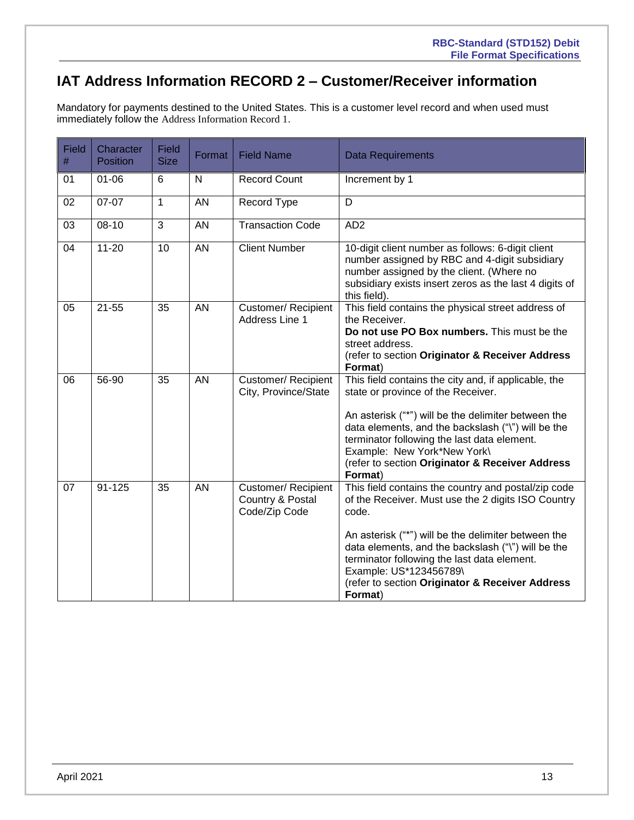# <span id="page-12-0"></span>**IAT Address Information RECORD 2 – Customer/Receiver information**

Mandatory for payments destined to the United States. This is a customer level record and when used must immediately follow the Address Information Record 1.

| <b>Field</b><br>$\#$ | Character<br><b>Position</b> | Field<br><b>Size</b> | Format       | <b>Field Name</b>                                        | <b>Data Requirements</b>                                                                                                                                                                                                                                                                                                                                               |
|----------------------|------------------------------|----------------------|--------------|----------------------------------------------------------|------------------------------------------------------------------------------------------------------------------------------------------------------------------------------------------------------------------------------------------------------------------------------------------------------------------------------------------------------------------------|
| 01                   | $01 - 06$                    | $6\phantom{1}$       | $\mathsf{N}$ | <b>Record Count</b>                                      | Increment by 1                                                                                                                                                                                                                                                                                                                                                         |
| 02                   | 07-07                        | $\mathbf{1}$         | <b>AN</b>    | Record Type                                              | D                                                                                                                                                                                                                                                                                                                                                                      |
| 03                   | $08 - 10$                    | $\overline{3}$       | AN           | <b>Transaction Code</b>                                  | AD <sub>2</sub>                                                                                                                                                                                                                                                                                                                                                        |
| 04                   | $11 - 20$                    | 10                   | AN           | <b>Client Number</b>                                     | 10-digit client number as follows: 6-digit client<br>number assigned by RBC and 4-digit subsidiary<br>number assigned by the client. (Where no<br>subsidiary exists insert zeros as the last 4 digits of<br>this field).                                                                                                                                               |
| 05                   | $21 - 55$                    | 35                   | AN           | <b>Customer/ Recipient</b><br>Address Line 1             | This field contains the physical street address of<br>the Receiver.<br>Do not use PO Box numbers. This must be the<br>street address.<br>(refer to section Originator & Receiver Address<br>Format)                                                                                                                                                                    |
| 06                   | 56-90                        | 35                   | AN           | Customer/ Recipient<br>City, Province/State              | This field contains the city and, if applicable, the<br>state or province of the Receiver.<br>An asterisk ("*") will be the delimiter between the<br>data elements, and the backslash ("\") will be the<br>terminator following the last data element.<br>Example: New York*New York\<br>(refer to section Originator & Receiver Address<br>Format)                    |
| 07                   | $91 - 125$                   | 35                   | AN           | Customer/ Recipient<br>Country & Postal<br>Code/Zip Code | This field contains the country and postal/zip code<br>of the Receiver. Must use the 2 digits ISO Country<br>code.<br>An asterisk ("*") will be the delimiter between the<br>data elements, and the backslash ("\") will be the<br>terminator following the last data element.<br>Example: US*123456789\<br>(refer to section Originator & Receiver Address<br>Format) |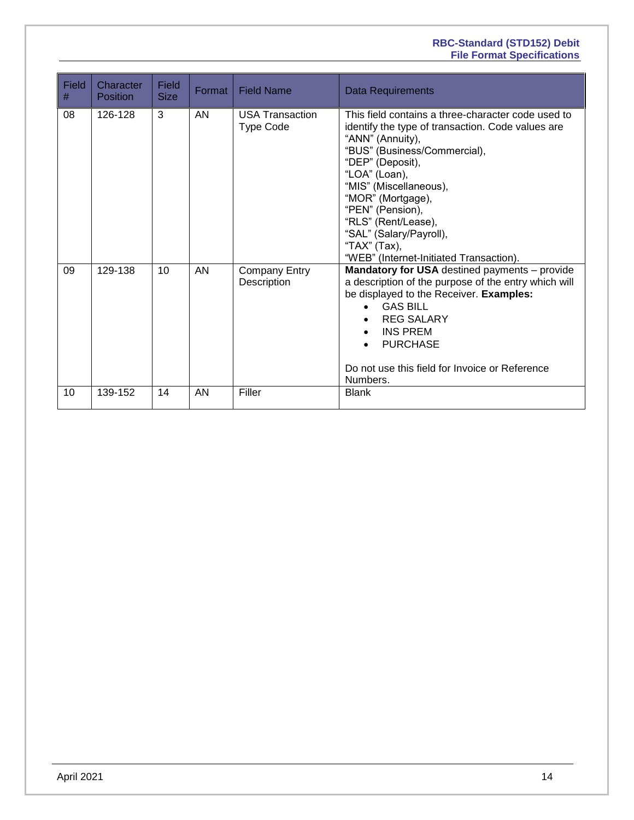#### **RBC-Standard (STD152) Debit File Format Specifications**

| <b>Field</b><br>$\#$ | Character<br>Position | Field<br><b>Size</b> | Format    | <b>Field Name</b>                   | <b>Data Requirements</b>                                                                                                                                                                                                                                                                                                                                                         |
|----------------------|-----------------------|----------------------|-----------|-------------------------------------|----------------------------------------------------------------------------------------------------------------------------------------------------------------------------------------------------------------------------------------------------------------------------------------------------------------------------------------------------------------------------------|
| 08                   | 126-128               | 3                    | AN        | <b>USA Transaction</b><br>Type Code | This field contains a three-character code used to<br>identify the type of transaction. Code values are<br>"ANN" (Annuity),<br>"BUS" (Business/Commercial),<br>"DEP" (Deposit),<br>"LOA" (Loan),<br>"MIS" (Miscellaneous),<br>"MOR" (Mortgage),<br>"PEN" (Pension),<br>"RLS" (Rent/Lease),<br>"SAL" (Salary/Payroll),<br>"TAX" (Tax),<br>"WEB" (Internet-Initiated Transaction). |
| 09                   | 129-138               | 10                   | <b>AN</b> | <b>Company Entry</b><br>Description | <b>Mandatory for USA</b> destined payments - provide<br>a description of the purpose of the entry which will<br>be displayed to the Receiver. Examples:<br><b>GAS BILL</b><br>$\bullet$<br><b>REG SALARY</b><br><b>INS PREM</b><br>$\bullet$<br><b>PURCHASE</b><br>Do not use this field for Invoice or Reference<br>Numbers.                                                    |
| 10                   | 139-152               | 14                   | AN        | Filler                              | <b>Blank</b>                                                                                                                                                                                                                                                                                                                                                                     |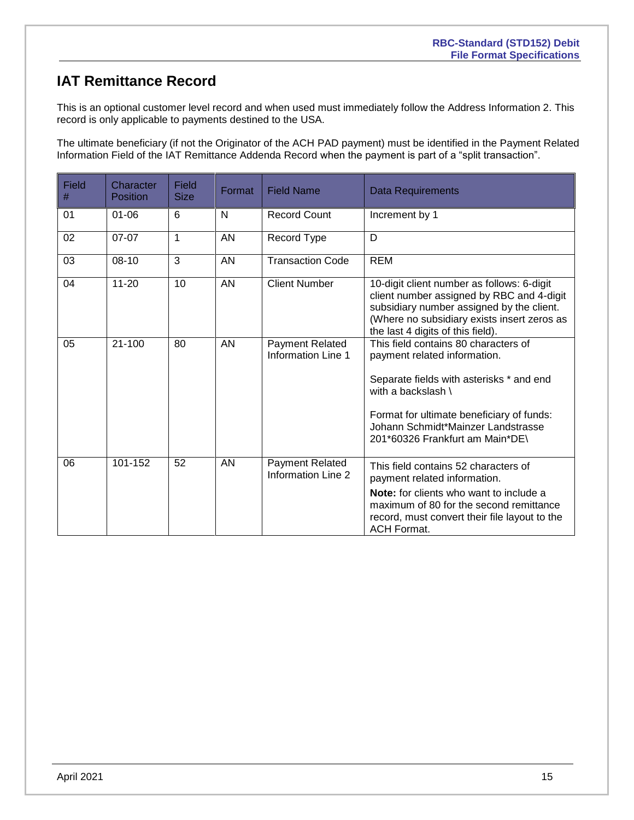## <span id="page-14-0"></span>**IAT Remittance Record**

This is an optional customer level record and when used must immediately follow the Address Information 2. This record is only applicable to payments destined to the USA.

The ultimate beneficiary (if not the Originator of the ACH PAD payment) must be identified in the Payment Related Information Field of the IAT Remittance Addenda Record when the payment is part of a "split transaction".

| Field<br># | Character<br><b>Position</b> | Field<br><b>Size</b> | Format    | <b>Field Name</b>                                   | <b>Data Requirements</b>                                                                                                                                                                                                                                     |
|------------|------------------------------|----------------------|-----------|-----------------------------------------------------|--------------------------------------------------------------------------------------------------------------------------------------------------------------------------------------------------------------------------------------------------------------|
| 01         | $01 - 06$                    | $6\phantom{1}$       | N         | <b>Record Count</b>                                 | Increment by 1                                                                                                                                                                                                                                               |
| 02         | $07-07$                      | 1                    | AN        | Record Type                                         | D                                                                                                                                                                                                                                                            |
| 03         | $08 - 10$                    | 3                    | <b>AN</b> | <b>Transaction Code</b>                             | <b>REM</b>                                                                                                                                                                                                                                                   |
| 04         | $11 - 20$                    | 10                   | <b>AN</b> | <b>Client Number</b>                                | 10-digit client number as follows: 6-digit<br>client number assigned by RBC and 4-digit<br>subsidiary number assigned by the client.<br>(Where no subsidiary exists insert zeros as<br>the last 4 digits of this field).                                     |
| 05         | $21 - 100$                   | 80                   | <b>AN</b> | <b>Payment Related</b><br><b>Information Line 1</b> | This field contains 80 characters of<br>payment related information.<br>Separate fields with asterisks * and end<br>with a backslash \<br>Format for ultimate beneficiary of funds:<br>Johann Schmidt*Mainzer Landstrasse<br>201*60326 Frankfurt am Main*DE\ |
| 06         | 101-152                      | 52                   | <b>AN</b> | Payment Related<br>Information Line 2               | This field contains 52 characters of<br>payment related information.<br><b>Note:</b> for clients who want to include a<br>maximum of 80 for the second remittance<br>record, must convert their file layout to the<br><b>ACH Format.</b>                     |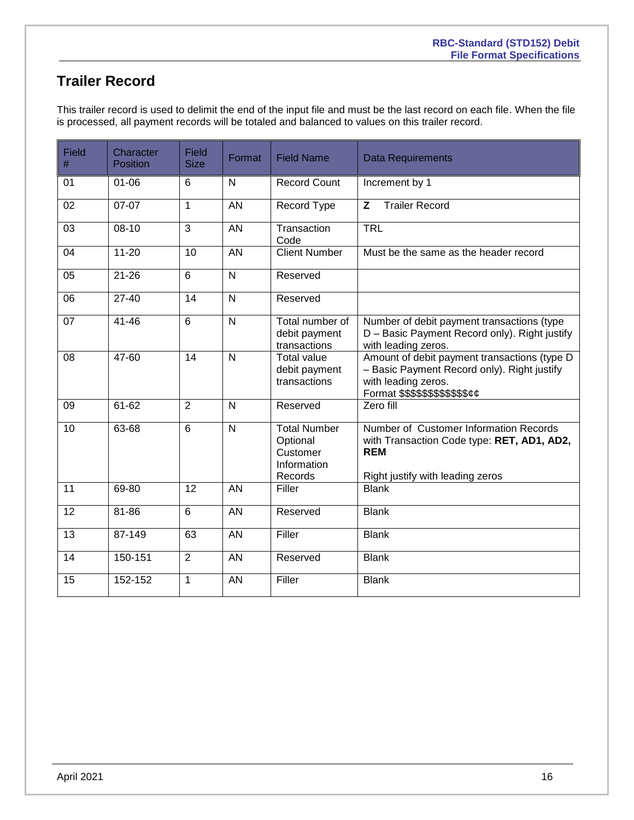# <span id="page-15-0"></span>**Trailer Record**

This trailer record is used to delimit the end of the input file and must be the last record on each file. When the file is processed, all payment records will be totaled and balanced to values on this trailer record.

| <b>Field</b><br># | Character<br><b>Position</b> | <b>Field</b><br><b>Size</b> | Format                  | <b>Field Name</b>                                                     | <b>Data Requirements</b>                                                                                                                                        |
|-------------------|------------------------------|-----------------------------|-------------------------|-----------------------------------------------------------------------|-----------------------------------------------------------------------------------------------------------------------------------------------------------------|
| 01                | $01 - 06$                    | 6                           | $\mathsf{N}$            | <b>Record Count</b>                                                   | Increment by 1                                                                                                                                                  |
| 02                | $07-07$                      | 1                           | <b>AN</b>               | Record Type                                                           | Z<br><b>Trailer Record</b>                                                                                                                                      |
| 03                | $08-10$                      | 3                           | AN                      | Transaction<br>Code                                                   | <b>TRL</b>                                                                                                                                                      |
| 04                | $11 - 20$                    | 10                          | AN                      | <b>Client Number</b>                                                  | Must be the same as the header record                                                                                                                           |
| 05                | $21 - 26$                    | 6                           | N                       | Reserved                                                              |                                                                                                                                                                 |
| 06                | $27-40$                      | 14                          | $\overline{\mathsf{N}}$ | Reserved                                                              |                                                                                                                                                                 |
| 07                | $41 - 46$                    | 6                           | $\overline{\mathsf{N}}$ | Total number of<br>debit payment<br>transactions                      | Number of debit payment transactions (type<br>D - Basic Payment Record only). Right justify<br>with leading zeros.                                              |
| 08                | 47-60                        | $\overline{14}$             | $\overline{N}$          | <b>Total value</b><br>debit payment<br>transactions                   | Amount of debit payment transactions (type D<br>- Basic Payment Record only). Right justify<br>with leading zeros.<br>Format \$\$\$\$\$\$\$\$\$\$\$\$ <i>¢¢</i> |
| 09                | $61 - 62$                    | $\overline{2}$              | $\mathsf{N}$            | Reserved                                                              | Zero fill                                                                                                                                                       |
| 10                | 63-68                        | $\overline{6}$              | $\overline{N}$          | <b>Total Number</b><br>Optional<br>Customer<br>Information<br>Records | Number of Customer Information Records<br>with Transaction Code type: RET, AD1, AD2,<br><b>REM</b><br>Right justify with leading zeros                          |
| $\overline{11}$   | 69-80                        | $\overline{12}$             | $\overline{AN}$         | Filler                                                                | <b>Blank</b>                                                                                                                                                    |
| $\overline{12}$   | $81 - 86$                    | $\overline{6}$              | <b>AN</b>               | Reserved                                                              | <b>Blank</b>                                                                                                                                                    |
| $\overline{13}$   | 87-149                       | 63                          | $\overline{AN}$         | Filler                                                                | <b>Blank</b>                                                                                                                                                    |
| 14                | 150-151                      | $\overline{2}$              | AN                      | Reserved                                                              | <b>Blank</b>                                                                                                                                                    |
| 15                | 152-152                      | 1                           | AN                      | Filler                                                                | <b>Blank</b>                                                                                                                                                    |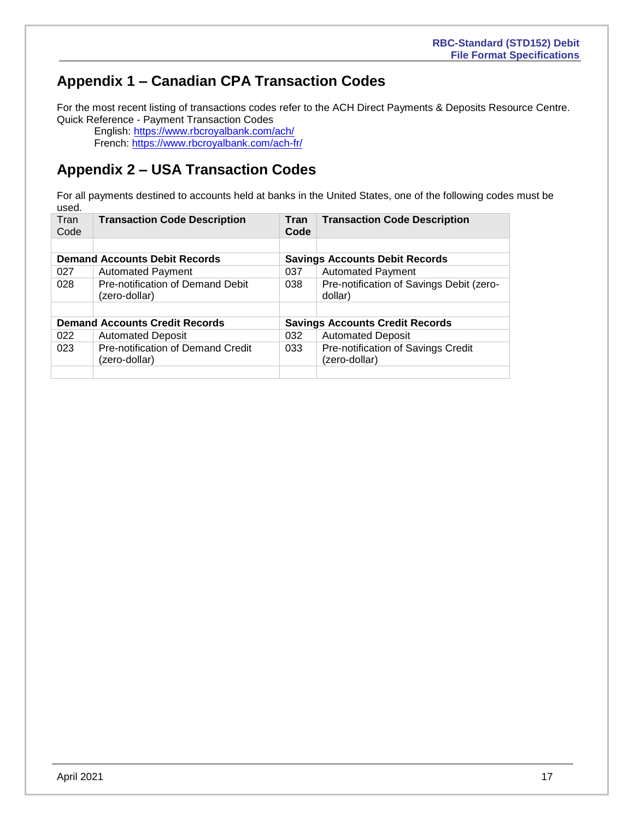# <span id="page-16-0"></span>**Appendix 1 – Canadian CPA Transaction Codes**

For the most recent listing of transactions codes refer to the ACH Direct Payments & Deposits Resource Centre. Quick Reference - Payment Transaction Codes

English:<https://www.rbcroyalbank.com/ach/> French: <https://www.rbcroyalbank.com/ach-fr/>

# <span id="page-16-1"></span>**Appendix 2 – USA Transaction Codes**

For all payments destined to accounts held at banks in the United States, one of the following codes must be used.

| Tran<br>Code | <b>Transaction Code Description</b>                | Tran<br>Code                           | <b>Transaction Code Description</b>                 |  |  |
|--------------|----------------------------------------------------|----------------------------------------|-----------------------------------------------------|--|--|
|              |                                                    |                                        |                                                     |  |  |
|              | <b>Demand Accounts Debit Records</b>               | <b>Savings Accounts Debit Records</b>  |                                                     |  |  |
| 027          | <b>Automated Payment</b>                           | 037                                    | <b>Automated Payment</b>                            |  |  |
| 028          | Pre-notification of Demand Debit<br>(zero-dollar)  | 038                                    | Pre-notification of Savings Debit (zero-<br>dollar) |  |  |
|              |                                                    |                                        |                                                     |  |  |
|              | <b>Demand Accounts Credit Records</b>              | <b>Savings Accounts Credit Records</b> |                                                     |  |  |
| 022          | <b>Automated Deposit</b>                           | 032                                    | <b>Automated Deposit</b>                            |  |  |
| 023          | Pre-notification of Demand Credit<br>(zero-dollar) | 033                                    | Pre-notification of Savings Credit<br>(zero-dollar) |  |  |
|              |                                                    |                                        |                                                     |  |  |